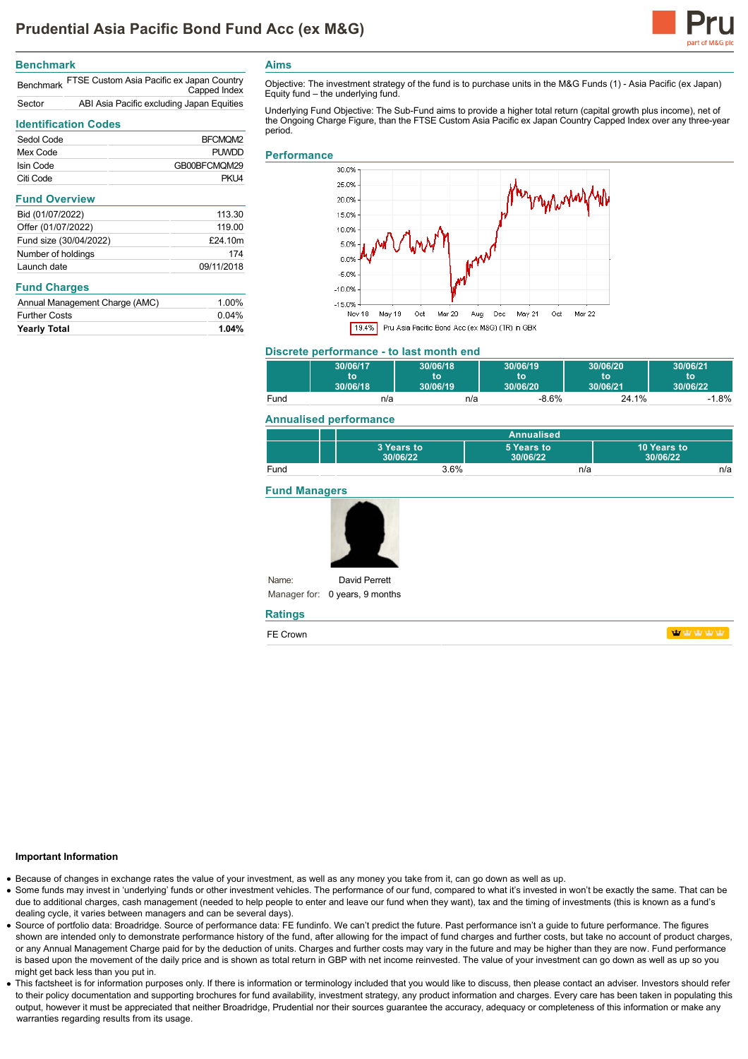

### **Benchmark**

|        | Benchmark FTSE Custom Asia Pacific ex Japan Country<br>Capped Index |
|--------|---------------------------------------------------------------------|
| Sector | ABI Asia Pacific excluding Japan Equities                           |

# **Identification Codes**

| Sedol Code             | BFCMQM2      |
|------------------------|--------------|
| Mex Code               | <b>PUWDD</b> |
| Isin Code              | GB00BFCMQM29 |
| Citi Code              | PKU4         |
| <b>Fund Overview</b>   |              |
| Bid (01/07/2022)       | 113.30       |
| Offer (01/07/2022)     | 119.00       |
| Fund size (30/04/2022) | £24.10m      |
| Number of holdings     | 174          |
| Launch date            | 09/11/2018   |

#### **Fund Charges**

| Annual Management Charge (AMC) | 1.00% |
|--------------------------------|-------|
| <b>Further Costs</b>           | 0.04% |
| <b>Yearly Total</b>            | 1.04% |

**Aims**

Objective: The investment strategy of the fund is to purchase units in the M&G Funds (1) - Asia Pacific (ex Japan) Equity fund – the underlying fund.

Underlying Fund Objective: The Sub-Fund aims to provide a higher total return (capital growth plus income), net of the Ongoing Charge Figure, than the FTSE Custom Asia Pacific ex Japan Country Capped Index over any three-year period.

## **Performance**



# **Discrete performance - to last month end**

|      | 30/06/17 | 30/06/18 | 30/06/19 | 30/06/20 | 30/06/21 |
|------|----------|----------|----------|----------|----------|
|      | to       | t٥       | ۹O       | to       | to       |
|      | 30/06/18 | 30/06/19 | 30/06/20 | 30/06/21 | 30/06/22 |
| Fund | n/a      | n/a      | $-8.6%$  | 24.1%    | $1.8\%$  |

## **Annualised performance**

|      | Annualised             |                        |                         |
|------|------------------------|------------------------|-------------------------|
|      | 3 Years to<br>30/06/22 | 5 Years to<br>30/06/22 | 10 Years to<br>30/06/22 |
| Fund | 3.6%                   | n/a                    | n/a                     |

### **Fund Managers**



Manager for: 0 years, 9 months

#### **Ratings**

Name:

FE Crown

**WWWW** 

# **Important Information**

- Because of changes in exchange rates the value of your investment, as well as any money you take from it, can go down as well as up.
- Some funds may invest in 'underlying' funds or other investment vehicles. The performance of our fund, compared to what it's invested in won't be exactly the same. That can be due to additional charges, cash management (needed to help people to enter and leave our fund when they want), tax and the timing of investments (this is known as a fund's dealing cycle, it varies between managers and can be several days).
- Source of portfolio data: Broadridge. Source of performance data: FE fundinfo. We can't predict the future. Past performance isn't a guide to future performance. The figures shown are intended only to demonstrate performance history of the fund, after allowing for the impact of fund charges and further costs, but take no account of product charges, or any Annual Management Charge paid for by the deduction of units. Charges and further costs may vary in the future and may be higher than they are now. Fund performance is based upon the movement of the daily price and is shown as total return in GBP with net income reinvested. The value of your investment can go down as well as up so you might get back less than you put in.
- . This factsheet is for information purposes only. If there is information or terminology included that you would like to discuss, then please contact an adviser. Investors should refer to their policy documentation and supporting brochures for fund availability, investment strategy, any product information and charges. Every care has been taken in populating this output, however it must be appreciated that neither Broadridge, Prudential nor their sources guarantee the accuracy, adequacy or completeness of this information or make any warranties regarding results from its usage.